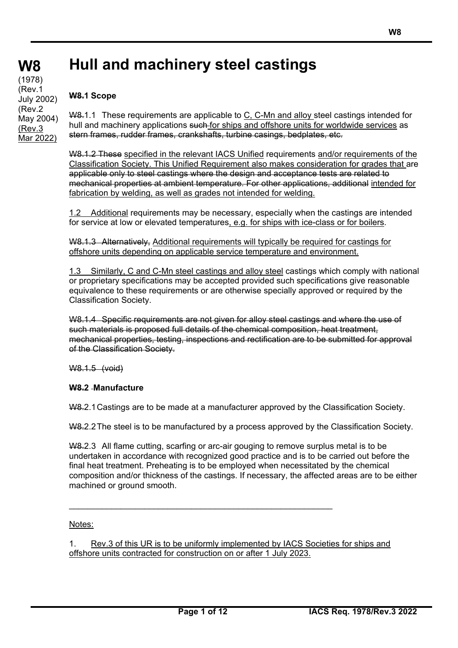# **Hull and machinery steel castings**

## **W8.1 Scope**

W8.1.1 These requirements are applicable to C, C-Mn and alloy steel castings intended for hull and machinery applications such for ships and offshore units for worldwide services as stern frames, rudder frames, crankshafts, turbine casings, bedplates, etc.

W8.1.2 These specified in the relevant IACS Unified requirements and/or requirements of the Classification Society. This Unified Requirement also makes consideration for grades that are applicable only to steel castings where the design and acceptance tests are related to mechanical properties at ambient temperature. For other applications, additional intended for fabrication by welding, as well as grades not intended for welding.

1.2 Additional requirements may be necessary, especially when the castings are intended for service at low or elevated temperatures, e.g. for ships with ice-class or for boilers.

W8.1.3 Alternatively, Additional requirements will typically be required for castings for offshore units depending on applicable service temperature and environment.

1.3 Similarly, C and C-Mn steel castings and alloy steel castings which comply with national or proprietary specifications may be accepted provided such specifications give reasonable equivalence to these requirements or are otherwise specially approved or required by the Classification Society.

W8.1.4 Specific requirements are not given for alloy steel castings and where the use of such materials is proposed full details of the chemical composition, heat treatment, mechanical properties, testing, inspections and rectification are to be submitted for approval of the Classification Society.

W8.1.5 (void)

## **W8.2 Manufacture**

W8.2.1 Castings are to be made at a manufacturer approved by the Classification Society.

W8.2.2 The steel is to be manufactured by a process approved by the Classification Society.

W8.2.3 All flame cutting, scarfing or arc-air gouging to remove surplus metal is to be undertaken in accordance with recognized good practice and is to be carried out before the final heat treatment. Preheating is to be employed when necessitated by the chemical composition and/or thickness of the castings. If necessary, the affected areas are to be either machined or ground smooth.

Notes:

1. Rev.3 of this UR is to be uniformly implemented by IACS Societies for ships and offshore units contracted for construction on or after 1 July 2023.

\_\_\_\_\_\_\_\_\_\_\_\_\_\_\_\_\_\_\_\_\_\_\_\_\_\_\_\_\_\_\_\_\_\_\_\_\_\_\_\_\_\_\_\_\_\_\_\_\_\_\_\_\_\_\_\_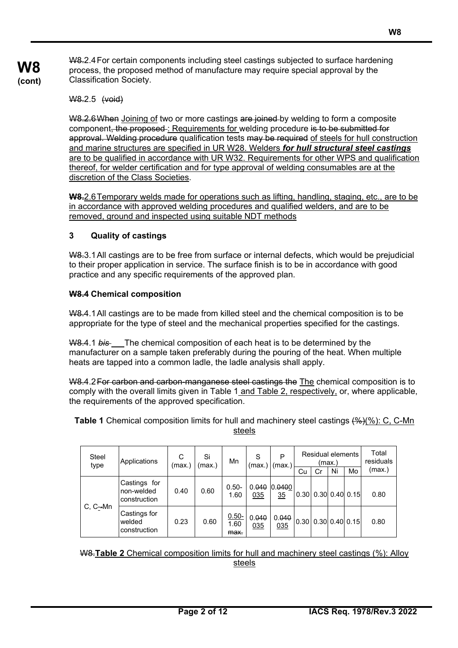W8.2.4 For certain components including steel castings subjected to surface hardening process, the proposed method of manufacture may require special approval by the Classification Society.

W8.2.5 (void)

**W8 (cont)**

> W8.2.6When Joining of two or more castings are joined by welding to form a composite component, the proposed : Requirements for welding procedure is to be submitted for approval. Welding procedure qualification tests may be required of steels for hull construction and marine structures are specified in UR W28. Welders *for hull structural steel castings* are to be qualified in accordance with UR W32. Requirements for other WPS and qualification thereof, for welder certification and for type approval of welding consumables are at the discretion of the Class Societies.

> **W8.**2.6 Temporary welds made for operations such as lifting, handling, staging, etc., are to be in accordance with approved welding procedures and qualified welders, and are to be removed, ground and inspected using suitable NDT methods

## **3 Quality of castings**

W8.3.1 All castings are to be free from surface or internal defects, which would be prejudicial to their proper application in service. The surface finish is to be in accordance with good practice and any specific requirements of the approved plan.

#### **W8.4 Chemical composition**

W8.4.1 All castings are to be made from killed steel and the chemical composition is to be appropriate for the type of steel and the mechanical properties specified for the castings.

W8.4.1 *bis* The chemical composition of each heat is to be determined by the manufacturer on a sample taken preferably during the pouring of the heat. When multiple heats are tapped into a common ladle, the ladle analysis shall apply.

W8.4.2 For carbon and carbon-manganese steel castings the The chemical composition is to comply with the overall limits given in Table 1 and Table 2, respectively, or, where applicable, the requirements of the approved specification.

**Table 1** Chemical composition limits for hull and machinery steel castings (%)(%): C, C-Mn steels

| Steel<br>type | Applications                               | С<br>(max.` | Si<br>(max.) | Mn                       | S<br>(max.   | P<br>(max.)  | Cu   | Residual elements<br>Cr   | (max.)<br>Ni | Mo                   | Total<br>residuals<br>(max.) |
|---------------|--------------------------------------------|-------------|--------------|--------------------------|--------------|--------------|------|---------------------------|--------------|----------------------|------------------------------|
|               | Castings for<br>non-welded<br>construction | 0.40        | 0.60         | $0.50 -$<br>1.60         | 0.040<br>035 | 0.0400<br>35 |      | 0.30   0.30   0.40   0.15 |              |                      | 0.80                         |
| C, C-Mn       | Castings for<br>welded<br>construction     | 0.23        | 0.60         | $0.50 -$<br>1.60<br>max. | 0.040<br>035 | 0.040<br>035 | 0.30 |                           |              | $0.30$ $0.40$ $0.15$ | 0.80                         |

W8.**Table 2** Chemical composition limits for hull and machinery steel castings (%): Alloy steels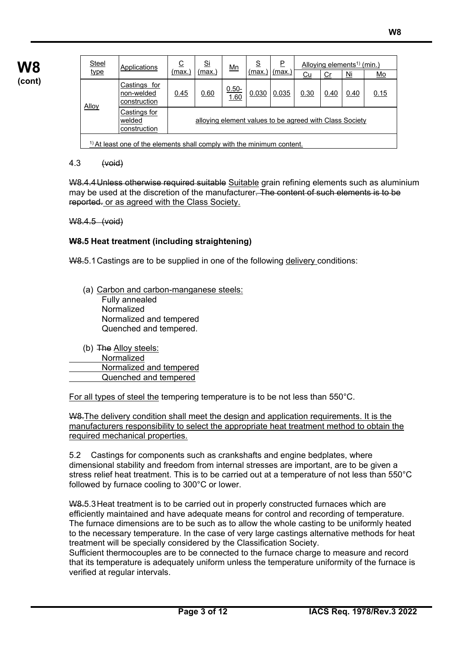| <b>Steel</b> | Applications                                                              | $\overline{c}$ | <u>Si</u>                                               | $\underline{\mathsf{Mn}}$ | <u>ട</u> | P             |           | Alloying elements <sup>1)</sup> (min.) |                                    |      |
|--------------|---------------------------------------------------------------------------|----------------|---------------------------------------------------------|---------------------------|----------|---------------|-----------|----------------------------------------|------------------------------------|------|
| <u>type</u>  |                                                                           | (max.          | (max.)                                                  |                           | (max.    | <u>(max.)</u> | <u>Cu</u> | Cr                                     | $\underline{\overline{\text{Mi}}}$ | Mo   |
| Alloy        | Castings for<br>non-welded<br>construction                                | 0.45           | 0.60                                                    | $0.50 -$<br>1.60          | 0.030    | 0.035         | 0.30      | 0.40                                   | 0.40                               | 0.15 |
|              | Castings for<br>welded<br>construction                                    |                | alloying element values to be agreed with Class Society |                           |          |               |           |                                        |                                    |      |
|              | $1$ ) At least one of the elements shall comply with the minimum content. |                |                                                         |                           |          |               |           |                                        |                                    |      |

## 4.3 (void)

W8.4.4 Unless otherwise required suitable Suitable grain refining elements such as aluminium may be used at the discretion of the manufacturer. The content of such elements is to be reported. or as agreed with the Class Society.

W8.4.5 (void)

#### **W8.5 Heat treatment (including straightening)**

W8.5.1Castings are to be supplied in one of the following delivery conditions:

- (a) Carbon and carbon-manganese steels: Fully annealed Normalized Normalized and tempered Quenched and tempered.
- (b) The Alloy steels: Normalized Normalized and tempered Quenched and tempered

For all types of steel the tempering temperature is to be not less than 550°C.

W8. The delivery condition shall meet the design and application requirements. It is the manufacturers responsibility to select the appropriate heat treatment method to obtain the required mechanical properties.

5.2 Castings for components such as crankshafts and engine bedplates, where dimensional stability and freedom from internal stresses are important, are to be given a stress relief heat treatment. This is to be carried out at a temperature of not less than 550°C followed by furnace cooling to 300°C or lower.

W8.5.3 Heat treatment is to be carried out in properly constructed furnaces which are efficiently maintained and have adequate means for control and recording of temperature. The furnace dimensions are to be such as to allow the whole casting to be uniformly heated to the necessary temperature. In the case of very large castings alternative methods for heat treatment will be specially considered by the Classification Society.

Sufficient thermocouples are to be connected to the furnace charge to measure and record that its temperature is adequately uniform unless the temperature uniformity of the furnace is verified at regular intervals.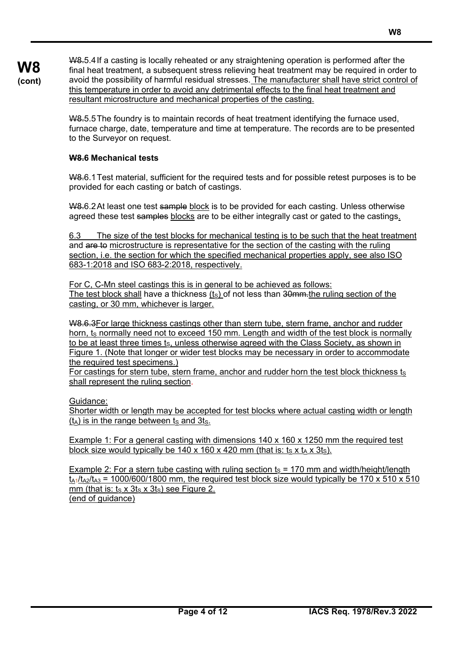W8.5.4 If a casting is locally reheated or any straightening operation is performed after the final heat treatment, a subsequent stress relieving heat treatment may be required in order to avoid the possibility of harmful residual stresses. The manufacturer shall have strict control of this temperature in order to avoid any detrimental effects to the final heat treatment and resultant microstructure and mechanical properties of the casting.

W8.5.5 The foundry is to maintain records of heat treatment identifying the furnace used, furnace charge, date, temperature and time at temperature. The records are to be presented to the Surveyor on request.

## **W8.6 Mechanical tests**

**W8 (cont)**

> W8.6.1 Test material, sufficient for the required tests and for possible retest purposes is to be provided for each casting or batch of castings.

W8.6.2 At least one test sample block is to be provided for each casting. Unless otherwise agreed these test samples blocks are to be either integrally cast or gated to the castings.

6.3 The size of the test blocks for mechanical testing is to be such that the heat treatment and are to microstructure is representative for the section of the casting with the ruling section, i.e. the section for which the specified mechanical properties apply, see also ISO 683-1:2018 and ISO 683-2:2018, respectively.

For C, C-Mn steel castings this is in general to be achieved as follows: The test block shall have a thickness  $(t<sub>S</sub>)$  of not less than 30 mm. the ruling section of the casting, or 30 mm, whichever is larger.

W8.6.3For large thickness castings other than stern tube, stern frame, anchor and rudder horn,  $t<sub>S</sub>$  normally need not to exceed 150 mm. Length and width of the test block is normally to be at least three times  $t_s$ , unless otherwise agreed with the Class Society, as shown in Figure 1. (Note that longer or wider test blocks may be necessary in order to accommodate the required test specimens.)

For castings for stern tube, stern frame, anchor and rudder horn the test block thickness  $t_s$ shall represent the ruling section.

Guidance:

Shorter width or length may be accepted for test blocks where actual casting width or length  $(t_A)$  is in the range between ts and 3ts.

Example 1: For a general casting with dimensions 140 x 160 x 1250 mm the required test block size would typically be 140 x 160 x 420 mm (that is:  $t_s \times t_A \times 3t_s$ ).

Example 2: For a stern tube casting with ruling section  $t_s = 170$  mm and width/height/length  $t_{A1}/t_{A2}/t_{A3}$  = 1000/600/1800 mm, the required test block size would typically be 170 x 510 x 510 mm (that is:  $t_S \times 3t_S \times 3t_S$ ) see Figure 2. (end of guidance)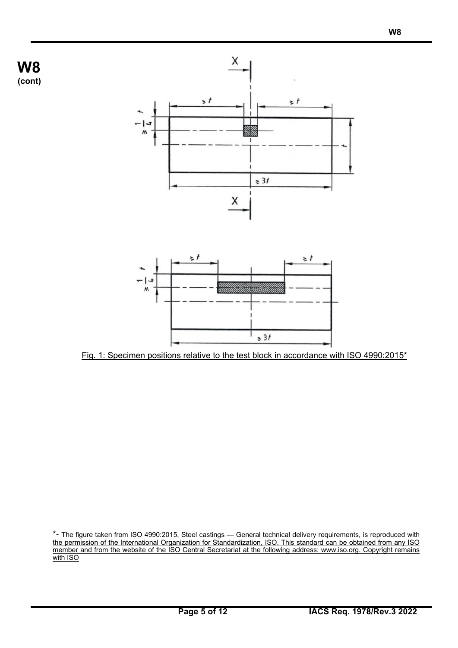



Fig. 1: Specimen positions relative to the test block in accordance with ISO 4990:2015\*

\*- The figure taken from ISO 4990:2015, Steel castings — General technical delivery requirements, is reproduced with the permission of the International Organization for Standardization, ISO. This standard can be obtained from any ISO member and from the website of the ISO Central Secretariat at the following address: www.iso.org. Copyright remains with ISO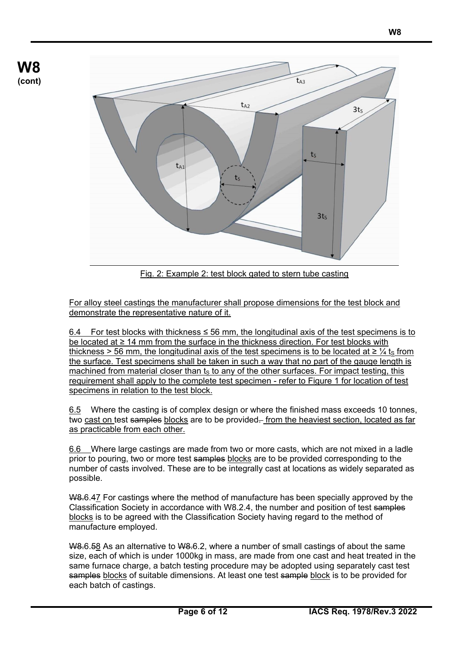

Fig. 2: Example 2: test block gated to stern tube casting

For alloy steel castings the manufacturer shall propose dimensions for the test block and demonstrate the representative nature of it.

6.4 For test blocks with thickness  $\leq$  56 mm, the longitudinal axis of the test specimens is to be located at ≥ 14 mm from the surface in the thickness direction. For test blocks with thickness > 56 mm, the longitudinal axis of the test specimens is to be located at  $\geq \frac{1}{4}$  ts from the surface. Test specimens shall be taken in such a way that no part of the gauge length is machined from material closer than  $t_s$  to any of the other surfaces. For impact testing, this requirement shall apply to the complete test specimen - refer to Figure 1 for location of test specimens in relation to the test block.

6.5 Where the casting is of complex design or where the finished mass exceeds 10 tonnes. two cast on test samples blocks are to be provided. from the heaviest section, located as far as practicable from each other.

6.6 Where large castings are made from two or more casts, which are not mixed in a ladle prior to pouring, two or more test samples blocks are to be provided corresponding to the number of casts involved. These are to be integrally cast at locations as widely separated as possible.

W8.6.47 For castings where the method of manufacture has been specially approved by the Classification Society in accordance with W8.2.4, the number and position of test samples blocks is to be agreed with the Classification Society having regard to the method of manufacture employed.

W8.6.58 As an alternative to W8.6.2, where a number of small castings of about the same size, each of which is under 1000kg in mass, are made from one cast and heat treated in the same furnace charge, a batch testing procedure may be adopted using separately cast test samples blocks of suitable dimensions. At least one test sample block is to be provided for each batch of castings.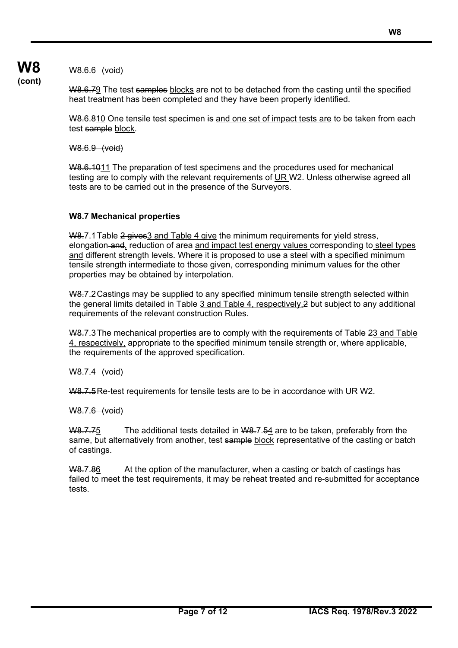**W8 (cont)**

W8.6.6 (void)

W8.6.79 The test samples blocks are not to be detached from the casting until the specified heat treatment has been completed and they have been properly identified.

W8.6.810 One tensile test specimen is and one set of impact tests are to be taken from each test sample block.

W8.6.9 (void)

W8.6.1011 The preparation of test specimens and the procedures used for mechanical testing are to comply with the relevant requirements of UR W2. Unless otherwise agreed all tests are to be carried out in the presence of the Surveyors.

## **W8.7 Mechanical properties**

W8.7.1 Table 2 gives 3 and Table 4 give the minimum requirements for yield stress, elongation and, reduction of area and impact test energy values corresponding to steel types and different strength levels. Where it is proposed to use a steel with a specified minimum tensile strength intermediate to those given, corresponding minimum values for the other properties may be obtained by interpolation.

W8.7.2 Castings may be supplied to any specified minimum tensile strength selected within the general limits detailed in Table 3 and Table 4, respectively, 2 but subject to any additional requirements of the relevant construction Rules.

W8.7.3 The mechanical properties are to comply with the requirements of Table 23 and Table 4, respectively, appropriate to the specified minimum tensile strength or, where applicable, the requirements of the approved specification.

W8.7.4 (void)

W8.7.5Re-test requirements for tensile tests are to be in accordance with UR W2.

W8.7.6 (void)

 $W8.7.75$  The additional tests detailed in W8.7.54 are to be taken, preferably from the same, but alternatively from another, test sample block representative of the casting or batch of castings.

W8.7.86 At the option of the manufacturer, when a casting or batch of castings has failed to meet the test requirements, it may be reheat treated and re-submitted for acceptance tests.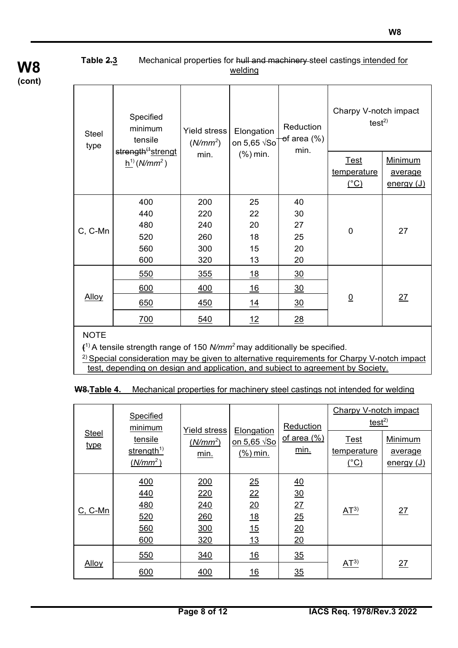## **Table 2.3** Mechanical properties for hull and machinery-steel castings intended for welding

| <b>Steel</b><br>type | Specified<br>minimum<br>tensile                     | <b>Yield stress</b><br>$(N/mm^2)$      | Elongation<br>on 5,65 $\sqrt{50}$   | Reduction<br><del>o</del> f area (%)<br>min. | Charpy V-notch impact<br>test $^{2)}$                |                                         |
|----------------------|-----------------------------------------------------|----------------------------------------|-------------------------------------|----------------------------------------------|------------------------------------------------------|-----------------------------------------|
|                      | strength <sup>(1</sup> strengt<br>$h^{1}(N/mm^{2})$ | min.                                   | (%) min.                            |                                              | <u>Test</u><br>temperature<br>$C$ <sup>o</sup> $C$ ) | <b>Minimum</b><br>average<br>energy (J) |
| C, C-Mn              | 400<br>440<br>480<br>520<br>560<br>600              | 200<br>220<br>240<br>260<br>300<br>320 | 25<br>22<br>20<br>18<br>15<br>13    | 40<br>30<br>27<br>25<br>20<br>20             | $\mathbf 0$                                          | 27                                      |
| <b>Alloy</b>         | 550<br>600<br>650<br>700                            | 355<br><u>400</u><br>450<br>540        | <u>18</u><br><u> 16</u><br>14<br>12 | $\frac{30}{2}$<br>$\frac{30}{2}$<br>30<br>28 | $0$                                                  | 27                                      |

**NOTE** 

**(**1) A tensile strength range of 150 *N/mm<sup>2</sup>*may additionally be specified.

<sup>2)</sup> Special consideration may be given to alternative requirements for Charpy V-notch impact test, depending on design and application, and subject to agreement by Society.

**W8.Table 4.** Mechanical properties for machinery steel castings not intended for welding

|               | Specified<br>minimum                            |                                           |                                                | Reduction                                    | <b>Charpy V-notch impact</b><br>test <sup>2</sup> |                                  |
|---------------|-------------------------------------------------|-------------------------------------------|------------------------------------------------|----------------------------------------------|---------------------------------------------------|----------------------------------|
| Steel<br>type | tensile<br>strength <sup>1)</sup><br>$(N/mm^2)$ | <b>Yield stress</b><br>$(N/mm^2)$<br>min. | Elongation<br>(%) min.                         | <u>of area (%)</u><br>min.                   | <b>Test</b><br>temperature<br>$(^\circ C)$        | Minimum<br>average<br>energy (J) |
| $C, C-Mn$     | 400<br>440<br><u>480</u><br>520<br>560<br>600   | 200<br>220<br>240<br>260<br>300<br>320    | 25<br>22<br>$\underline{20}$<br>18<br>15<br>13 | 40<br>$\frac{30}{2}$<br>27<br>25<br>20<br>20 | AT <sup>3</sup>                                   | 27                               |
| <b>Alloy</b>  | 550<br>600                                      | 340<br>400                                | <u>16</u><br><u>16</u>                         | 35<br>35                                     | AT <sup>3</sup>                                   | 27                               |

## **W8 (cont)**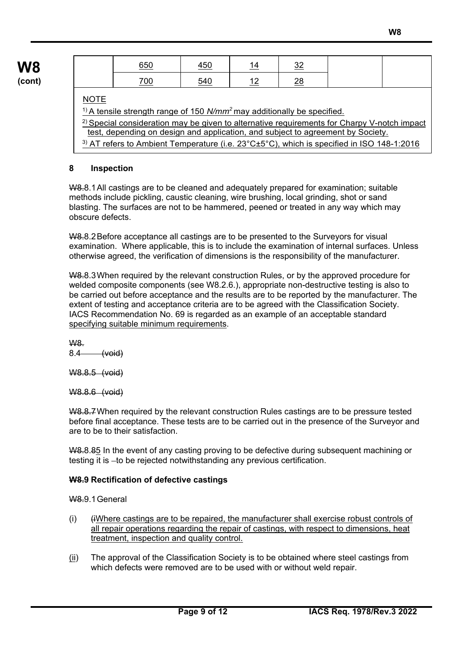| 650 | <u>450</u> | <u> 14</u> | ົ<br><u>ے ب</u> |
|-----|------------|------------|-----------------|
| 700 | 540        | 1 C        | ົ<br><u>∠0</u>  |

## **NOTE**

1) A tensile strength range of 150 *N/mm<sup>2</sup>*may additionally be specified. <sup>2)</sup> Special consideration may be given to alternative requirements for Charpy V-notch impact test, depending on design and application, and subject to agreement by Society. <sup>3)</sup> AT refers to Ambient Temperature (i.e.  $23^{\circ}$ C $\pm$ 5°C), which is specified in ISO 148-1:2016

#### **8 Inspection**

W8.8.1All castings are to be cleaned and adequately prepared for examination; suitable methods include pickling, caustic cleaning, wire brushing, local grinding, shot or sand blasting. The surfaces are not to be hammered, peened or treated in any way which may obscure defects.

W8.8.2Before acceptance all castings are to be presented to the Surveyors for visual examination. Where applicable, this is to include the examination of internal surfaces. Unless otherwise agreed, the verification of dimensions is the responsibility of the manufacturer.

W8.8.3 When required by the relevant construction Rules, or by the approved procedure for welded composite components (see W8.2.6.), appropriate non-destructive testing is also to be carried out before acceptance and the results are to be reported by the manufacturer. The extent of testing and acceptance criteria are to be agreed with the Classification Society. IACS Recommendation No. 69 is regarded as an example of an acceptable standard specifying suitable minimum requirements.

W8.  $8.4$   $(void)$ 

W8.8.5 (void)

W8.8.6 (void)

W8.8.7When required by the relevant construction Rules castings are to be pressure tested before final acceptance. These tests are to be carried out in the presence of the Surveyor and are to be to their satisfaction.

W8.8.85 In the event of any casting proving to be defective during subsequent machining or testing it is -to be rejected notwithstanding any previous certification.

## **W8.9 Rectification of defective castings**

W8.9.1General

- $(i)$  (i) (iWhere castings are to be repaired, the manufacturer shall exercise robust controls of all repair operations regarding the repair of castings, with respect to dimensions, heat treatment, inspection and quality control.
- $(i)$  The approval of the Classification Society is to be obtained where steel castings from which defects were removed are to be used with or without weld repair.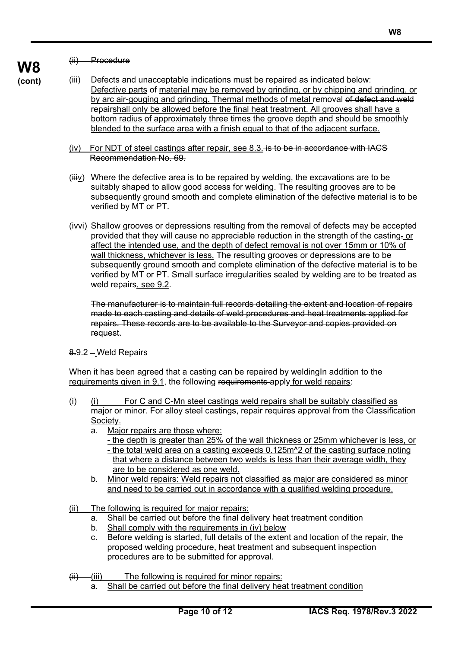#### (ii) Procedure

**W8 (cont)**

- (iii) Defects and unacceptable indications must be repaired as indicated below: Defective parts of material may be removed by grinding, or by chipping and grinding, or by arc air-gouging and grinding. Thermal methods of metal removal of defect and weld repairshall only be allowed before the final heat treatment. All grooves shall have a bottom radius of approximately three times the groove depth and should be smoothly blended to the surface area with a finish equal to that of the adjacent surface.
	- (iv) For NDT of steel castings after repair, see 8.3. is to be in accordance with IACS Recommendation No. 69.
	- $(iiiy)$  Where the defective area is to be repaired by welding, the excavations are to be suitably shaped to allow good access for welding. The resulting grooves are to be subsequently ground smooth and complete elimination of the defective material is to be verified by MT or PT.
	- (ivvi) Shallow grooves or depressions resulting from the removal of defects may be accepted provided that they will cause no appreciable reduction in the strength of the casting. or affect the intended use, and the depth of defect removal is not over 15mm or 10% of wall thickness, whichever is less. The resulting grooves or depressions are to be subsequently ground smooth and complete elimination of the defective material is to be verified by MT or PT. Small surface irregularities sealed by welding are to be treated as weld repairs, see 9.2.

The manufacturer is to maintain full records detailing the extent and location of repairs made to each casting and details of weld procedures and heat treatments applied for repairs. These records are to be available to the Surveyor and copies provided on request.

8.9.2 Weld Repairs

When it has been agreed that a casting can be repaired by welding In addition to the requirements given in 9.1, the following requirements apply for weld repairs:

- $(i)$  (i) For C and C-Mn steel castings weld repairs shall be suitably classified as major or minor. For alloy steel castings, repair requires approval from the Classification Society.
	- a. Major repairs are those where:
		- the depth is greater than 25% of the wall thickness or 25mm whichever is less, or - the total weld area on a casting exceeds 0.125m<sup>^</sup>2 of the casting surface noting
		- that where a distance between two welds is less than their average width, they are to be considered as one weld.
	- b. Minor weld repairs: Weld repairs not classified as major are considered as minor and need to be carried out in accordance with a qualified welding procedure.
- (ii) The following is required for major repairs:
	- a. Shall be carried out before the final delivery heat treatment condition
	- b. Shall comply with the requirements in (iv) below
	- c. Before welding is started, full details of the extent and location of the repair, the proposed welding procedure, heat treatment and subsequent inspection procedures are to be submitted for approval.

 $(iii)$  (iii) The following is required for minor repairs:

a. Shall be carried out before the final delivery heat treatment condition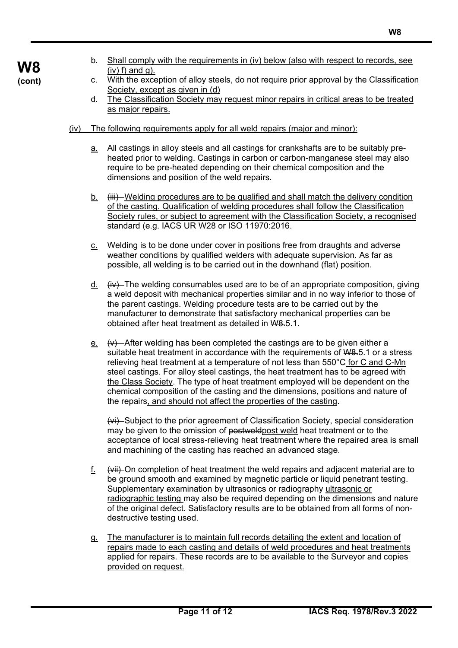- b. Shall comply with the requirements in (iv) below (also with respect to records, see  $(iv)$  f) and g).
- c. With the exception of alloy steels, do not require prior approval by the Classification Society, except as given in (d)
- d. The Classification Society may request minor repairs in critical areas to be treated as major repairs.
- (iv) The following requirements apply for all weld repairs (major and minor):
	- a. All castings in alloy steels and all castings for crankshafts are to be suitably preheated prior to welding. Castings in carbon or carbon-manganese steel may also require to be pre-heated depending on their chemical composition and the dimensions and position of the weld repairs.
	- $b.$  (iii) Welding procedures are to be qualified and shall match the delivery condition of the casting. Qualification of welding procedures shall follow the Classification Society rules, or subject to agreement with the Classification Society, a recognised standard (e.g. IACS UR W28 or ISO 11970:2016.
	- c. Welding is to be done under cover in positions free from draughts and adverse weather conditions by qualified welders with adequate supervision. As far as possible, all welding is to be carried out in the downhand (flat) position.
	- d.  $(iv)$  The welding consumables used are to be of an appropriate composition, giving a weld deposit with mechanical properties similar and in no way inferior to those of the parent castings. Welding procedure tests are to be carried out by the manufacturer to demonstrate that satisfactory mechanical properties can be obtained after heat treatment as detailed in W8.5.1.
	- $e.$  (v) After welding has been completed the castings are to be given either a suitable heat treatment in accordance with the requirements of W8.5.1 or a stress relieving heat treatment at a temperature of not less than 550°C for C and C-Mn steel castings. For alloy steel castings, the heat treatment has to be agreed with the Class Society. The type of heat treatment employed will be dependent on the chemical composition of the casting and the dimensions, positions and nature of the repairs, and should not affect the properties of the casting.

(vi) Subject to the prior agreement of Classification Society, special consideration may be given to the omission of postweldpost weld heat treatment or to the acceptance of local stress-relieving heat treatment where the repaired area is small and machining of the casting has reached an advanced stage.

- f. (vii) On completion of heat treatment the weld repairs and adjacent material are to be ground smooth and examined by magnetic particle or liquid penetrant testing. Supplementary examination by ultrasonics or radiography ultrasonic or radiographic testing may also be required depending on the dimensions and nature of the original defect. Satisfactory results are to be obtained from all forms of nondestructive testing used.
- g. The manufacturer is to maintain full records detailing the extent and location of repairs made to each casting and details of weld procedures and heat treatments applied for repairs. These records are to be available to the Surveyor and copies provided on request.